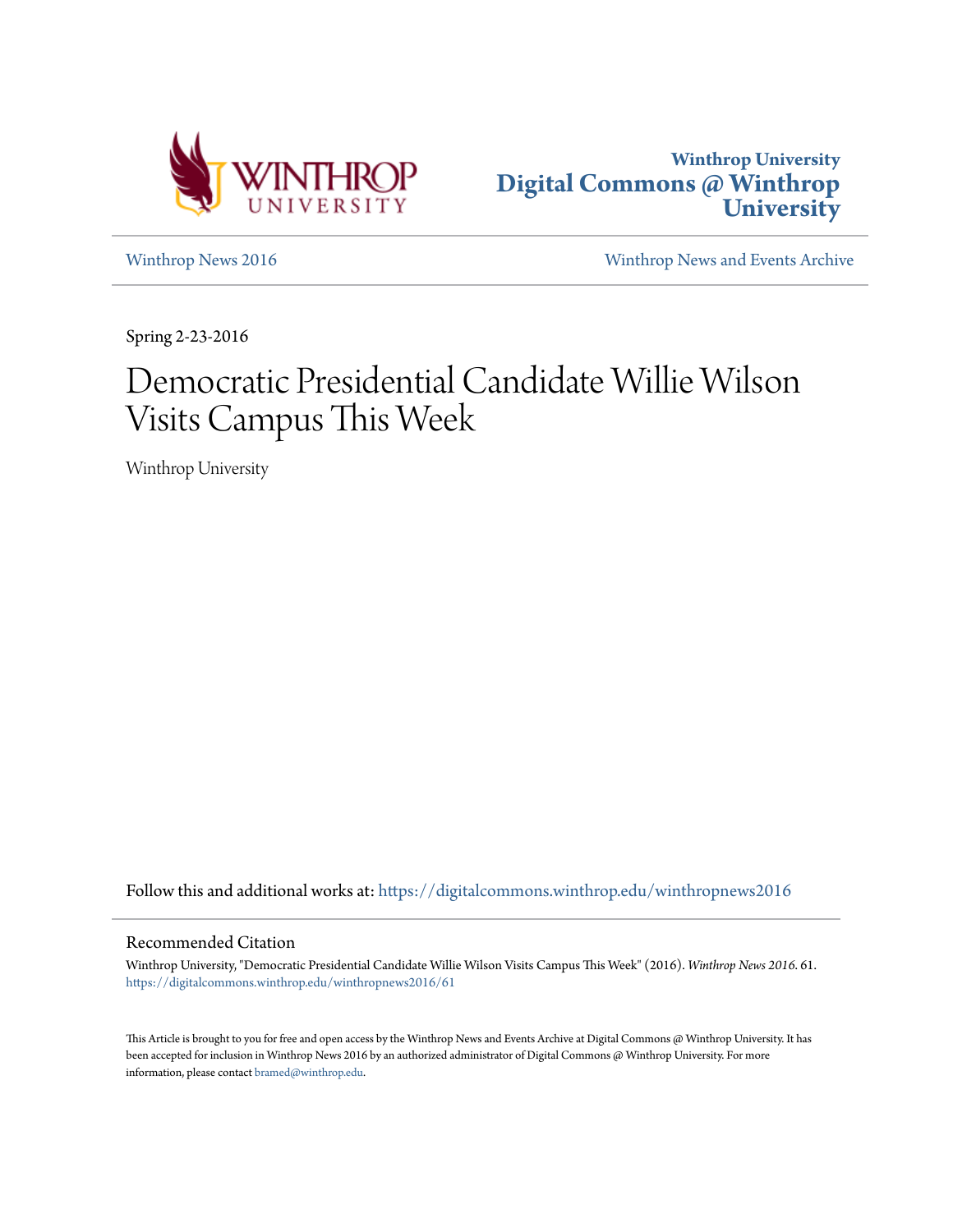



[Winthrop News 2016](https://digitalcommons.winthrop.edu/winthropnews2016?utm_source=digitalcommons.winthrop.edu%2Fwinthropnews2016%2F61&utm_medium=PDF&utm_campaign=PDFCoverPages) [Winthrop News and Events Archive](https://digitalcommons.winthrop.edu/winthropnewsarchives?utm_source=digitalcommons.winthrop.edu%2Fwinthropnews2016%2F61&utm_medium=PDF&utm_campaign=PDFCoverPages)

Spring 2-23-2016

# Democratic Presidential Candidate Willie Wilson Visits Campus This Week

Winthrop University

Follow this and additional works at: [https://digitalcommons.winthrop.edu/winthropnews2016](https://digitalcommons.winthrop.edu/winthropnews2016?utm_source=digitalcommons.winthrop.edu%2Fwinthropnews2016%2F61&utm_medium=PDF&utm_campaign=PDFCoverPages)

### Recommended Citation

Winthrop University, "Democratic Presidential Candidate Willie Wilson Visits Campus This Week" (2016). *Winthrop News 2016*. 61. [https://digitalcommons.winthrop.edu/winthropnews2016/61](https://digitalcommons.winthrop.edu/winthropnews2016/61?utm_source=digitalcommons.winthrop.edu%2Fwinthropnews2016%2F61&utm_medium=PDF&utm_campaign=PDFCoverPages)

This Article is brought to you for free and open access by the Winthrop News and Events Archive at Digital Commons @ Winthrop University. It has been accepted for inclusion in Winthrop News 2016 by an authorized administrator of Digital Commons @ Winthrop University. For more information, please contact [bramed@winthrop.edu](mailto:bramed@winthrop.edu).